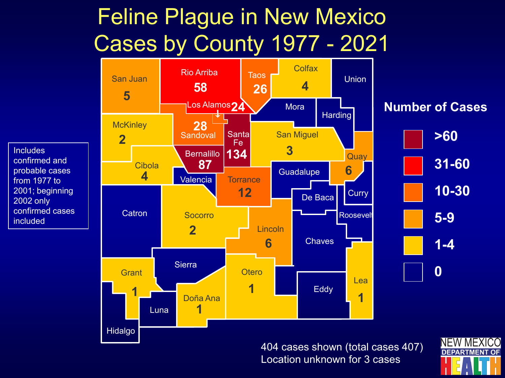## Feline Plague in New Mexico Cases by County 1977 - 2021

**Includes** 

2002 only

included

confirmed and probable cases from 1977 to 2001; beginning

confirmed cases



404 cases shown (total cases 407) Location unknown for 3 cases

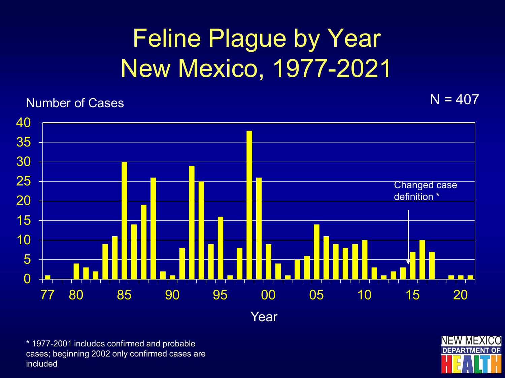## Feline Plague by Year New Mexico, 1977-2021

## Number of Cases  $N = 407$



Year

\* 1977-2001 includes confirmed and probable cases; beginning 2002 only confirmed cases are included